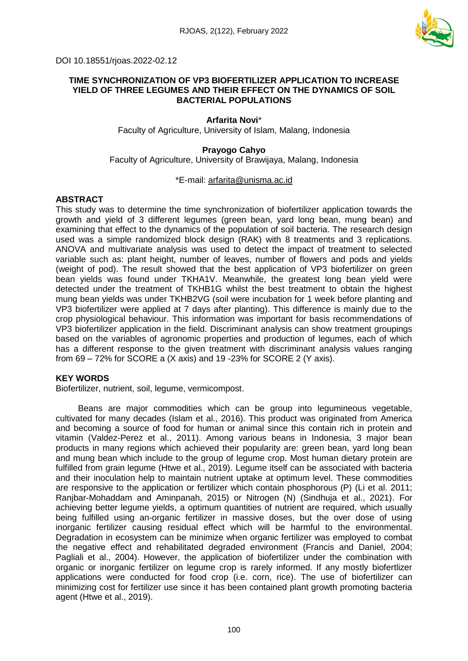

DOI 10.18551/rjoas.2022-02.12

#### **TIME SYNCHRONIZATION OF VP3 BIOFERTILIZER APPLICATION TO INCREASE YIELD OF THREE LEGUMES AND THEIR EFFECT ON THE DYNAMICS OF SOIL BACTERIAL POPULATIONS**

# **Arfarita Novi**\*

Faculty of Agriculture, University of Islam, Malang, Indonesia

#### **Prayogo Cahyo**

Faculty of Agriculture, University of Brawijaya, Malang, Indonesia

#### \*E-mail: [arfarita@unisma.ac.id](mailto:arfarita@unisma.ac.id)

#### **ABSTRACT**

This study was to determine the time synchronization of biofertilizer application towards the growth and yield of 3 different legumes (green bean, yard long bean, mung bean) and examining that effect to the dynamics of the population of soil bacteria. The research design used was a simple randomized block design (RAK) with 8 treatments and 3 replications. ANOVA and multivariate analysis was used to detect the impact of treatment to selected variable such as: plant height, number of leaves, number of flowers and pods and yields (weight of pod). The result showed that the best application of VP3 biofertilizer on green bean yields was found under TKHA1V. Meanwhile, the greatest long bean yield were detected under the treatment of TKHB1G whilst the best treatment to obtain the highest mung bean yields was under TKHB2VG (soil were incubation for 1 week before planting and VP3 biofertilizer were applied at 7 days after planting). This difference is mainly due to the crop physiological behaviour. This information was important for basis recommendations of VP3 biofertilizer application in the field. Discriminant analysis can show treatment groupings based on the variables of agronomic properties and production of legumes, each of which has a different response to the given treatment with discriminant analysis values ranging from 69 – 72% for SCORE a (X axis) and 19 -23% for SCORE 2 (Y axis).

#### **KEY WORDS**

Biofertilizer, nutrient, soil, legume, vermicompost.

Beans are major commodities which can be group into legumineous vegetable, cultivated for many decades (Islam et al., 2016). This product was originated from America and becoming a source of food for human or animal since this contain rich in protein and vitamin (Valdez-Perez et al., 2011). Among various beans in Indonesia, 3 major bean products in many regions which achieved their popularity are: green bean, yard long bean and mung bean which include to the group of legume crop. Most human dietary protein are fulfilled from grain legume (Htwe et al., 2019). Legume itself can be associated with bacteria and their inoculation help to maintain nutrient uptake at optimum level. These commodities are responsive to the application or fertilizer which contain phosphorous (P) (Li et al. 2011; Ranjbar-Mohaddam and Aminpanah, 2015) or Nitrogen (N) (Sindhuja et al., 2021). For achieving better legume yields, a optimum quantities of nutrient are required, which usually being fulfilled using an-organic fertilizer in massive doses, but the over dose of using inorganic fertilizer causing residual effect which will be harmful to the environmental. Degradation in ecosystem can be minimize when organic fertilizer was employed to combat the negative effect and rehabilitated degraded environment (Francis and Daniel, 2004; Pagliali et al., 2004). However, the application of biofertilizer under the combination with organic or inorganic fertilizer on legume crop is rarely informed. If any mostly biofertlizer applications were conducted for food crop (i.e. corn, rice). The use of biofertilizer can minimizing cost for fertilizer use since it has been contained plant growth promoting bacteria agent (Htwe et al., 2019).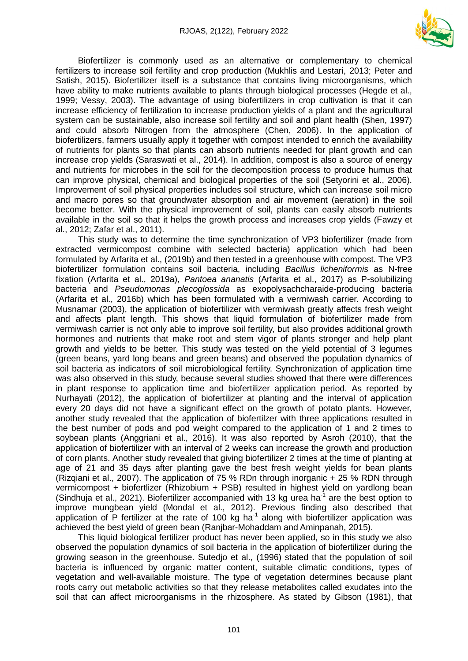

Biofertilizer is commonly used as an alternative or complementary to chemical fertilizers to increase soil fertility and crop production (Mukhlis and Lestari, 2013; Peter and Satish, 2015). Biofertilizer itself is a substance that contains living microorganisms, which have ability to make nutrients available to plants through biological processes (Hegde et al., 1999; Vessy, 2003). The advantage of using biofertilizers in crop cultivation is that it can increase efficiency of fertilization to increase production yields of a plant and the agricultural system can be sustainable, also increase soil fertility and soil and plant health (Shen, 1997) and could absorb Nitrogen from the atmosphere (Chen, 2006). In the application of biofertilizers, farmers usually apply it together with compost intended to enrich the availability of nutrients for plants so that plants can absorb nutrients needed for plant growth and can increase crop yields (Saraswati et al., 2014). In addition, compost is also a source of energy and nutrients for microbes in the soil for the decomposition process to produce humus that can improve physical, chemical and biological properties of the soil (Setyorini et al., 2006). Improvement of soil physical properties includes soil structure, which can increase soil micro and macro pores so that groundwater absorption and air movement (aeration) in the soil become better. With the physical improvement of soil, plants can easily absorb nutrients available in the soil so that it helps the growth process and increases crop yields (Fawzy et al., 2012; Zafar et al., 2011).

This study was to determine the time synchronization of VP3 biofertilizer (made from extracted vermicompost combine with selected bacteria) application which had been formulated by Arfarita et al., (2019b) and then tested in a greenhouse with compost. The VP3 biofertilizer formulation contains soil bacteria, including *Bacillus licheniformis* as N-free fixation (Arfarita et al., 2019a), *Pantoea ananatis* (Arfarita et al., 2017) as P-solubilizing bacteria and *Pseudomonas plecoglossida* as exopolysachcharaide-producing bacteria (Arfarita et al., 2016b) which has been formulated with a vermiwash carrier. According to Musnamar (2003), the application of biofertilizer with vermiwash greatly affects fresh weight and affects plant length. This shows that liquid formulation of biofertilizer made from vermiwash carrier is not only able to improve soil fertility, but also provides additional growth hormones and nutrients that make root and stem vigor of plants stronger and help plant growth and yields to be better. This study was tested on the yield potential of 3 legumes (green beans, yard long beans and green beans) and observed the population dynamics of soil bacteria as indicators of soil microbiological fertility. Synchronization of application time was also observed in this study, because several studies showed that there were differences in plant response to application time and biofertilizer application period. As reported by Nurhayati (2012), the application of biofertilizer at planting and the interval of application every 20 days did not have a significant effect on the growth of potato plants. However, another study revealed that the application of biofertilzer with three applications resulted in the best number of pods and pod weight compared to the application of 1 and 2 times to soybean plants (Anggriani et al., 2016). It was also reported by Asroh (2010), that the application of biofertilizer with an interval of 2 weeks can increase the growth and production of corn plants. Another study revealed that giving biofertilizer 2 times at the time of planting at age of 21 and 35 days after planting gave the best fresh weight yields for bean plants (Rizgiani et al., 2007). The application of 75 % RDn through inorganic  $+$  25 % RDN through vermicompost + biofertlizer (Rhizobium + PSB) resulted in highest yield on yardlong bean (Sindhuja et al., 2021). Biofertilizer accompanied with 13 kg urea ha $^{-1}$  are the best option to improve mungbean yield (Mondal et al., 2012). Previous finding also described that application of P fertilizer at the rate of 100 kg ha $^{-1}$  along with biofertilizer application was achieved the best yield of green bean (Ranjbar-Mohaddam and Aminpanah, 2015).

This liquid biological fertilizer product has never been applied, so in this study we also observed the population dynamics of soil bacteria in the application of biofertilizer during the growing season in the greenhouse. Sutedjo et al., (1996) stated that the population of soil bacteria is influenced by organic matter content, suitable climatic conditions, types of vegetation and well-available moisture. The type of vegetation determines because plant roots carry out metabolic activities so that they release metabolites called exudates into the soil that can affect microorganisms in the rhizosphere. As stated by Gibson (1981), that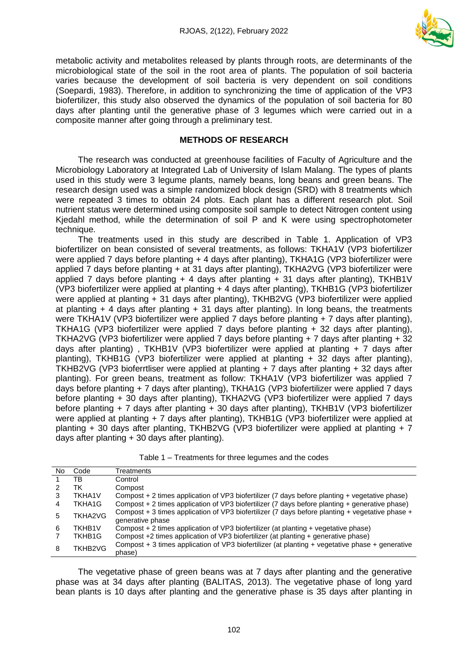

metabolic activity and metabolites released by plants through roots, are determinants of the microbiological state of the soil in the root area of plants. The population of soil bacteria varies because the development of soil bacteria is very dependent on soil conditions (Soepardi, 1983). Therefore, in addition to synchronizing the time of application of the VP3 biofertilizer, this study also observed the dynamics of the population of soil bacteria for 80 days after planting until the generative phase of 3 legumes which were carried out in a composite manner after going through a preliminary test.

#### **METHODS OF RESEARCH**

The research was conducted at greenhouse facilities of Faculty of Agriculture and the Microbiology Laboratory at Integrated Lab of University of Islam Malang. The types of plants used in this study were 3 legume plants, namely beans, long beans and green beans. The research design used was a simple randomized block design (SRD) with 8 treatments which were repeated 3 times to obtain 24 plots. Each plant has a different research plot. Soil nutrient status were determined using composite soil sample to detect Nitrogen content using Kjedahl method, while the determination of soil P and K were using spectrophotometer technique.

The treatments used in this study are described in Table 1. Application of VP3 biofertilizer on bean consisted of several treatments, as follows: TKHA1V (VP3 biofertilizer were applied 7 days before planting + 4 days after planting), TKHA1G (VP3 biofertilizer were applied 7 days before planting + at 31 days after planting), TKHA2VG (VP3 biofertilizer were applied 7 days before planting  $+$  4 days after planting  $+$  31 days after planting), TKHB1V (VP3 biofertilizer were applied at planting + 4 days after planting), TKHB1G (VP3 biofertilizer were applied at planting + 31 days after planting), TKHB2VG (VP3 biofertilizer were applied at planting  $+$  4 days after planting  $+$  31 days after planting). In long beans, the treatments were TKHA1V (VP3 biofertilizer were applied 7 days before planting + 7 days after planting), TKHA1G (VP3 biofertilizer were applied 7 days before planting + 32 days after planting), TKHA2VG (VP3 biofertilizer were applied 7 days before planting + 7 days after planting + 32 days after planting) , TKHB1V (VP3 biofertilizer were applied at planting + 7 days after planting), TKHB1G (VP3 biofertilizer were applied at planting + 32 days after planting), TKHB2VG (VP3 bioferrtliser were applied at planting + 7 days after planting + 32 days after planting). For green beans, treatment as follow: TKHA1V (VP3 biofertilizer was applied 7 days before planting + 7 days after planting), TKHA1G (VP3 biofertilizer were applied 7 days before planting + 30 days after planting), TKHA2VG (VP3 biofertilizer were applied 7 days before planting + 7 days after planting + 30 days after planting), TKHB1V (VP3 biofertilizer were applied at planting + 7 days after planting), TKHB1G (VP3 biofertilizer were applied at planting + 30 days after planting, TKHB2VG (VP3 biofertilizer were applied at planting + 7 days after planting + 30 days after planting).

| No. | Code          | Treatments                                                                                                          |
|-----|---------------|---------------------------------------------------------------------------------------------------------------------|
|     | ΤВ            | Control                                                                                                             |
|     | ТK            | Compost                                                                                                             |
| З   | <b>TKHA1V</b> | Compost + 2 times application of VP3 biofertilizer (7 days before planting + vegetative phase)                      |
| 4   | TKHA1G        | Compost + 2 times application of VP3 biofertilizer (7 days before planting + generative phase)                      |
| 5   | TKHA2VG       | Compost + 3 times application of VP3 biofertilizer (7 days before planting + vegetative phase +<br>generative phase |
| 6   | TKHB1V        | Compost + 2 times application of VP3 biofertilizer (at planting + vegetative phase)                                 |
|     | TKHB1G        | Compost +2 times application of VP3 biofertilizer (at planting + generative phase)                                  |
| 8   | TKHB2VG       | Compost + 3 times application of VP3 biofertilizer (at planting + vegetative phase + generative<br>phase)           |

Table 1 – Treatments for three legumes and the codes

The vegetative phase of green beans was at 7 days after planting and the generative phase was at 34 days after planting (BALITAS, 2013). The vegetative phase of long yard bean plants is 10 days after planting and the generative phase is 35 days after planting in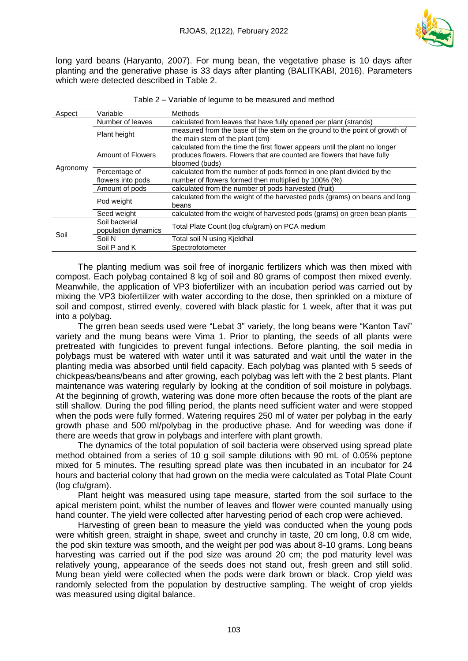

long yard beans (Haryanto, 2007). For mung bean, the vegetative phase is 10 days after planting and the generative phase is 33 days after planting (BALITKABI, 2016). Parameters which were detected described in Table 2.

| Aspect   | Variable                              | Methods                                                                                                                                                                 |  |  |  |  |
|----------|---------------------------------------|-------------------------------------------------------------------------------------------------------------------------------------------------------------------------|--|--|--|--|
|          | Number of leaves                      | calculated from leaves that have fully opened per plant (strands)                                                                                                       |  |  |  |  |
|          | Plant height                          | measured from the base of the stem on the ground to the point of growth of<br>the main stem of the plant (cm)                                                           |  |  |  |  |
|          | Amount of Flowers                     | calculated from the time the first flower appears until the plant no longer<br>produces flowers. Flowers that are counted are flowers that have fully<br>bloomed (buds) |  |  |  |  |
| Agronomy | Percentage of<br>flowers into pods    | calculated from the number of pods formed in one plant divided by the<br>number of flowers formed then multiplied by 100% (%)                                           |  |  |  |  |
|          | Amount of pods                        | calculated from the number of pods harvested (fruit)                                                                                                                    |  |  |  |  |
|          | Pod weight                            | calculated from the weight of the harvested pods (grams) on beans and long<br>beans                                                                                     |  |  |  |  |
|          | Seed weight                           | calculated from the weight of harvested pods (grams) on green bean plants                                                                                               |  |  |  |  |
| Soil     | Soil bacterial<br>population dynamics | Total Plate Count (log cfu/gram) on PCA medium                                                                                                                          |  |  |  |  |
|          | Soil N                                | Total soil N using Kjeldhal                                                                                                                                             |  |  |  |  |
|          | Soil P and K                          | Spectrofotometer                                                                                                                                                        |  |  |  |  |

|  |  | Table 2 – Variable of legume to be measured and method |
|--|--|--------------------------------------------------------|
|  |  |                                                        |
|  |  |                                                        |

The planting medium was soil free of inorganic fertilizers which was then mixed with compost. Each polybag contained 8 kg of soil and 80 grams of compost then mixed evenly. Meanwhile, the application of VP3 biofertilizer with an incubation period was carried out by mixing the VP3 biofertilizer with water according to the dose, then sprinkled on a mixture of soil and compost, stirred evenly, covered with black plastic for 1 week, after that it was put into a polybag.

The grren bean seeds used were "Lebat 3" variety, the long beans were "Kanton Tavi" variety and the mung beans were Vima 1. Prior to planting, the seeds of all plants were pretreated with fungicides to prevent fungal infections. Before planting, the soil media in polybags must be watered with water until it was saturated and wait until the water in the planting media was absorbed until field capacity. Each polybag was planted with 5 seeds of chickpeas/beans/beans and after growing, each polybag was left with the 2 best plants. Plant maintenance was watering regularly by looking at the condition of soil moisture in polybags. At the beginning of growth, watering was done more often because the roots of the plant are still shallow. During the pod filling period, the plants need sufficient water and were stopped when the pods were fully formed. Watering requires 250 ml of water per polybag in the early growth phase and 500 ml/polybag in the productive phase. And for weeding was done if there are weeds that grow in polybags and interfere with plant growth.

The dynamics of the total population of soil bacteria were observed using spread plate method obtained from a series of 10 g soil sample dilutions with 90 mL of 0.05% peptone mixed for 5 minutes. The resulting spread plate was then incubated in an incubator for 24 hours and bacterial colony that had grown on the media were calculated as Total Plate Count (log cfu/gram).

Plant height was measured using tape measure, started from the soil surface to the apical meristem point, whilst the number of leaves and flower were counted manually using hand counter. The yield were collected after harvesting period of each crop were achieved.

Harvesting of green bean to measure the yield was conducted when the young pods were whitish green, straight in shape, sweet and crunchy in taste, 20 cm long, 0.8 cm wide, the pod skin texture was smooth, and the weight per pod was about 8-10 grams. Long beans harvesting was carried out if the pod size was around 20 cm; the pod maturity level was relatively young, appearance of the seeds does not stand out, fresh green and still solid. Mung bean yield were collected when the pods were dark brown or black. Crop yield was randomly selected from the population by destructive sampling. The weight of crop yields was measured using digital balance.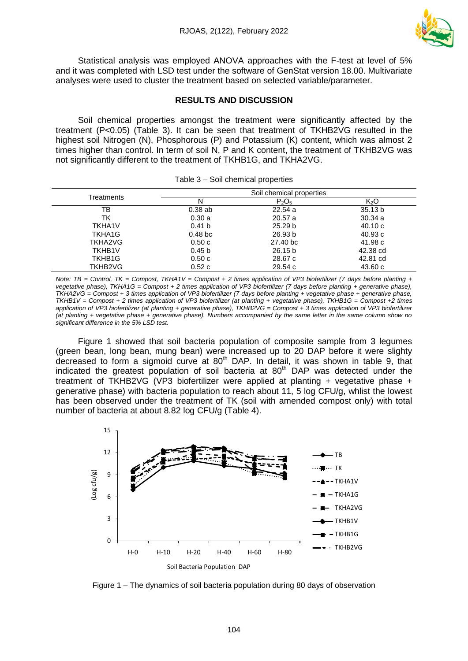

Statistical analysis was employed ANOVA approaches with the F-test at level of 5% and it was completed with LSD test under the software of GenStat version 18.00. Multivariate analyses were used to cluster the treatment based on selected variable/parameter.

### **RESULTS AND DISCUSSION**

Soil chemical properties amongst the treatment were significantly affected by the treatment (P<0.05) (Table 3). It can be seen that treatment of TKHB2VG resulted in the highest soil Nitrogen (N), Phosphorous (P) and Potassium (K) content, which was almost 2 times higher than control. In term of soil N, P and K content, the treatment of TKHB2VG was not significantly different to the treatment of TKHB1G, and TKHA2VG.

|                    |                     | Soil chemical properties |                  |
|--------------------|---------------------|--------------------------|------------------|
| Treatments         | Ν                   | $P_2O_5$                 | K <sub>2</sub> O |
| тв                 | 0.38ab              | 22.54a                   | 35.13 b          |
| ТK                 | 0.30a               | 20.57a                   | 30.34 a          |
| <b>TKHA1V</b>      | 0.41 <sub>b</sub>   | 25.29 <sub>b</sub>       | 40.10c           |
| TKHA1G             | 0.48 <sub>b</sub> c | 26.93 b                  | 40.93c           |
| TKHA2VG            | 0.50c               | 27.40 bc                 | 41.98 c          |
| <b>TKHB1V</b>      | 0.45 <sub>b</sub>   | 26.15 <sub>b</sub>       | 42.38 cd         |
| TKHB <sub>1G</sub> | 0.50c               | 28.67 c                  | 42.81 cd         |
| TKHB2VG            | 0.52c               | 29.54c                   | 43.60c           |

*Note: TB = Control, TK = Compost, TKHA1V = Compost + 2 times application of VP3 biofertilizer (7 days before planting + vegetative phase), TKHA1G = Compost + 2 times application of VP3 biofertilizer (7 days before planting + generative phase), TKHA2VG = Compost + 3 times application of VP3 biofertilizer (7 days before planting + vegetative phase + generative phase, TKHB1V = Compost + 2 times application of VP3 biofertilizer (at planting + vegetative phase), TKHB1G = Compost +2 times application of VP3 biofertilizer (at planting + generative phase), TKHB2VG = Compost + 3 times application of VP3 biofertilizer (at planting + vegetative phase + generative phase). Numbers accompanied by the same letter in the same column show no significant difference in the 5% LSD test.*

Figure 1 showed that soil bacteria population of composite sample from 3 legumes (green bean, long bean, mung bean) were increased up to 20 DAP before it were slighty decreased to form a sigmoid curve at 80<sup>th</sup> DAP. In detail, it was shown in table 9, that indicated the greatest population of soil bacteria at  $80<sup>th</sup>$  DAP was detected under the treatment of TKHB2VG (VP3 biofertilizer were applied at planting + vegetative phase + generative phase) with bacteria population to reach about 11, 5 log CFU/g, whlist the lowest has been observed under the treatment of TK (soil with amended compost only) with total number of bacteria at about 8.82 log CFU/g (Table 4).



Figure 1 – The dynamics of soil bacteria population during 80 days of observation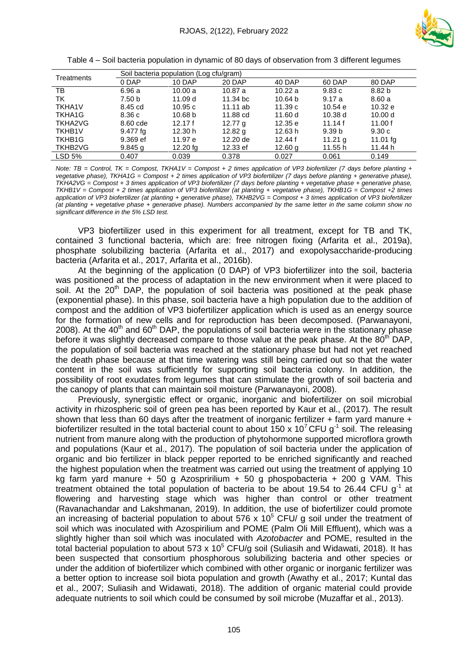

Table 4 – Soil bacteria population in dynamic of 80 days of observation from 3 different legumes

| Treatments         | Soil bacteria population (Log cfu/gram) |            |                    |         |                   |            |  |  |
|--------------------|-----------------------------------------|------------|--------------------|---------|-------------------|------------|--|--|
|                    | 0 DAP                                   | 10 DAP     | 20 DAP             | 40 DAP  | 60 DAP            | 80 DAP     |  |  |
| ТB                 | 6.96 a                                  | 10.00 a    | 10.87a             | 10.22a  | 9.83c             | 8.82 b     |  |  |
| ТK                 | 7.50 b                                  | 11.09 d    | 11.34 bc           | 10.64 b | 9.17a             | 8.60a      |  |  |
| <b>TKHA1V</b>      | 8.45 cd                                 | 10.95c     | $11.11$ ab         | 11.39c  | 10.54 e           | 10.32 e    |  |  |
| TKHA1G             | 8.36c                                   | 10.68 b    | 11.88 cd           | 11.60 d | 10.38 d           | 10.00 d    |  |  |
| <b>TKHA2VG</b>     | 8.60 cde                                | 12.17f     | 12.77 <sub>a</sub> | 12.35 e | 11.14f            | 11.00 $f$  |  |  |
| <b>TKHB1V</b>      | 9.477 fg                                | 12.30 h    | 12.82 $q$          | 12.63 h | 9.39 <sub>b</sub> | 9.30c      |  |  |
| TKHB <sub>1G</sub> | 9.369 ef                                | 11.97 e    | 12.20 de           | 12.44f  | 11.21 $g$         | 11.01 $fg$ |  |  |
| TKHB2VG            | $9.845$ q                               | $12.20$ fa | 12.33 ef           | 12.60 g | 11.55 h           | 11.44 h    |  |  |
| LSD <sub>5%</sub>  | 0.407                                   | 0.039      | 0.378              | 0.027   | 0.061             | 0.149      |  |  |

*Note: TB = Control, TK = Compost, TKHA1V = Compost + 2 times application of VP3 biofertilizer (7 days before planting + vegetative phase), TKHA1G = Compost + 2 times application of VP3 biofertilizer (7 days before planting + generative phase), TKHA2VG = Compost + 3 times application of VP3 biofertilizer (7 days before planting + vegetative phase + generative phase, TKHB1V = Compost + 2 times application of VP3 biofertilizer (at planting + vegetative phase), TKHB1G = Compost +2 times application of VP3 biofertilizer (at planting + generative phase), TKHB2VG = Compost + 3 times application of VP3 biofertilizer (at planting + vegetative phase + generative phase). Numbers accompanied by the same letter in the same column show no significant difference in the 5% LSD test.*

VP3 biofertilizer used in this experiment for all treatment, except for TB and TK, contained 3 functional bacteria, which are: free nitrogen fixing (Arfarita et al., 2019a), phosphate solubilizing bacteria (Arfarita et al., 2017) and exopolysaccharide-producing bacteria (Arfarita et al., 2017, Arfarita et al., 2016b).

At the beginning of the application (0 DAP) of VP3 biofertilizer into the soil, bacteria was positioned at the process of adaptation in the new environment when it were placed to soil. At the 20<sup>th</sup> DAP, the population of soil bacteria was positioned at the peak phase (exponential phase). In this phase, soil bacteria have a high population due to the addition of compost and the addition of VP3 biofertilizer application which is used as an energy source for the formation of new cells and for reproduction has been decomposed. (Parwanayoni, 2008). At the  $40<sup>th</sup>$  and  $60<sup>th</sup>$  DAP, the populations of soil bacteria were in the stationary phase before it was slightly decreased compare to those value at the peak phase. At the  $80<sup>th</sup>$  DAP, the population of soil bacteria was reached at the stationary phase but had not yet reached the death phase because at that time watering was still being carried out so that the water content in the soil was sufficiently for supporting soil bacteria colony. In addition, the possibility of root exudates from legumes that can stimulate the growth of soil bacteria and the canopy of plants that can maintain soil moisture (Parwanayoni, 2008).

Previously, synergistic effect or organic, inorganic and biofertilizer on soil microbial activity in rhizospheric soil of green pea has been reported by Kaur et al., (2017). The result shown that less than 60 days after the treatment of inorganic fertilizer  $+$  farm yard manure  $+$ biofertilizer resulted in the total bacterial count to about 150 x 10<sup>7</sup> CFU g<sup>-1</sup> soil. The releasing nutrient from manure along with the production of phytohormone supported microflora growth and populations (Kaur et al., 2017). The population of soil bacteria under the application of organic and bio fertilizer in black pepper reported to be enriched significantly and reached the highest population when the treatment was carried out using the treatment of applying 10 kg farm yard manure + 50 g Azospririlium + 50 g phospobacteria + 200 g VAM. This treatment obtained the total population of bacteria to be about 19.54 to 26.44 CFU  $g^{-1}$  at flowering and harvesting stage which was higher than control or other treatment (Ravanachandar and Lakshmanan, 2019). In addition, the use of biofertilizer could promote an increasing of bacterial population to about 576 x 10<sup>5</sup> CFU/ g soil under the treatment of soil which was inoculated with Azospirilium and POME (Palm Oli Mill Effluent), which was a slightly higher than soil which was inoculated with *Azotobacter* and POME, resulted in the total bacterial population to about 573 x  $10^5$  CFU/g soil (Suliasih and Widawati, 2018). It has been suspected that consortium phosphorous solubilizing bacteria and other species or under the addition of biofertilizer which combined with other organic or inorganic fertilizer was a better option to increase soil biota population and growth (Awathy et al., 2017; Kuntal das et al., 2007; Suliasih and Widawati, 2018). The addition of organic material could provide adequate nutrients to soil which could be consumed by soil microbe (Muzaffar et al., 2013).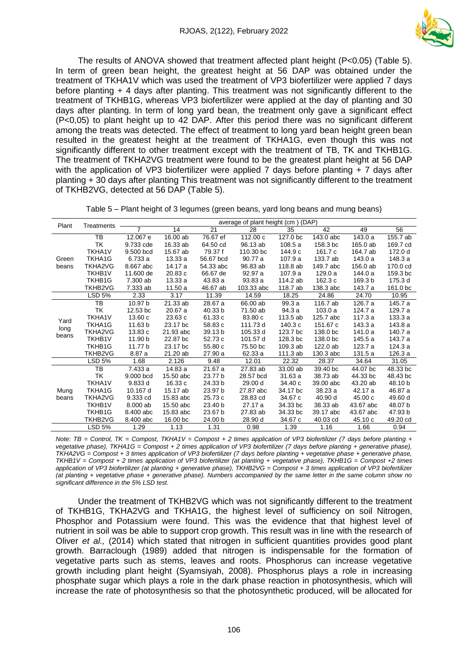

The results of ANOVA showed that treatment affected plant height (P<0.05) (Table 5). In term of green bean height, the greatest height at 56 DAP was obtained under the treatment of TKHA1V which was used the treatment of VP3 biofertilizer were applied 7 days before planting + 4 days after planting. This treatment was not significantly different to the treatment of TKHB1G, whereas VP3 biofertilizer were applied at the day of planting and 30 days after planting. In term of long yard bean, the treatment only gave a significant effect (P<0,05) to plant height up to 42 DAP. After this period there was no significant different among the treats was detected. The effect of treatment to long yard bean height green bean resulted in the greatest height at the treatment of TKHA1G, even though this was not significantly different to other treatment except with the treatment of TB, TK and TKHB1G. The treatment of TKHA2VG treatment were found to be the greatest plant height at 56 DAP with the application of VP3 biofertilizer were applied 7 days before planting + 7 days after planting + 30 days after planting This treatment was not significantly different to the treatment of TKHB2VG, detected at 56 DAP (Table 5).

|               |                |                |           |           | average of plant height (cm) |          | (DAP)     |           |          |
|---------------|----------------|----------------|-----------|-----------|------------------------------|----------|-----------|-----------|----------|
| Plant         | Treatments     | $\overline{7}$ | 14        | 21        | 28                           | 35       | 42        | 49        | 56       |
|               | ТB             | 12.067 e       | 16.00 ab  | 76.67 ef  | 112.00 c                     | 127.0 bc | 143.0 abc | 143.0 a   | 155.7 ab |
|               | TK             | 9.733 cde      | 16.33 ab  | 64.50 cd  | 96.13 ab                     | 108.5a   | 158.3 bc  | 165.0 ab  | 169.7 cd |
|               | <b>TKHA1V</b>  | 9.500 bcd      | 15.67 ab  | 79.37 f   | 110.30 bc                    | 144.9 с  | 161.7 c   | 164.7 ab  | 172.0 d  |
| Green         | TKHA1G         | 6.733 a        | 13.33 a   | 56.67 bcd | 90.77 a                      | 107.9 a  | 133.7 ab  | 143.0 a   | 148.3 a  |
| beans         | TKHA2VG        | 8.667 abc      | 14.17 a   | 54.33 abc | 96.83 ab                     | 118.8 ab | 149.7 abc | 156.0 ab  | 170.0 cd |
|               | TKHB1V         | 11.600 de      | 20.83 c   | 66.67 de  | 92.97 a                      | 107.9 a  | 129.0 a   | 144.0 a   | 159.3 bc |
|               | TKHB1G         | 7.300 ab       | 13.33 a   | 43.83 a   | 93.83 a                      | 114.2 ab | 162.3 c   | 169.3 b   | 175.3 d  |
|               | TKHB2VG        | 7.333 ab       | 11.50a    | 46.67 ab  | 103.33 abc                   | 118.7 ab | 138.3 abc | 143.7 a   | 161.0 bc |
|               | LSD 5%         | 2.33           | 3.17      | 11.39     | 14.59                        | 18.25    | 24.86     | 24.70     | 10.95    |
|               | ТB             | 10.97 b        | 21.33 ab  | 28.67 a   | 66.00 ab                     | 99.3 a   | 116.7 ab  | 126.7 a   | 145.7 a  |
|               | ТK             | 12.53 bc       | 20.67 a   | 40.33 b   | 71.50 ab                     | 94.3 a   | 103.0a    | 124.7 a   | 129.7 a  |
| Yard          | TKHA1V         | 13.60c         | 23.63 c   | 61.33 c   | 83.80 c                      | 113.5 ab | 125.7 abc | 117.3a    | 133.3 a  |
|               | TKHA1G         | 11.63 b        | 23.17 bc  | 58.83 c   | 111.73 d                     | 140.3 c  | 151.67 c  | 143.3 a   | 143.8 a  |
| long<br>beans | <b>TKHA2VG</b> | 13.83 c        | 21.93 abc | 39.13 b   | 105.33 d                     | 123.7 bc | 138.0 bc  | 141.0 a   | 140.7 a  |
|               | TKHB1V         | 11.90 b        | 22.87 bc  | 52.73 c   | 101.57 d                     | 128.3 bc | 138.0 bc  | 145.5 a   | 143.7 a  |
|               | TKHB1G         | 11.77 b        | 23.17 bc  | 55.80 c   | 75.50 bc                     | 109.3 ab | 122.0 ab  | 123.7 a   | 124.3 a  |
|               | TKHB2VG        | 8.87 a         | 21.20 ab  | 27.90 a   | 62.33 a                      | 111.3 ab | 130.3 abc | 131.5 a   | 126.3 a  |
|               | LSD 5%         | 1.68           | 2.126     | 9.48      | 12.01                        | 22.32    | 28.37     | 34.64     | 31.05    |
|               | TB             | 7.433 a        | 14.83 a   | 21.67 a   | 27.83 ab                     | 33.00 ab | 39.40 bc  | 44.07 bc  | 48.33 bc |
|               | TK             | 9.000 bcd      | 15.50 abc | 23.77 b   | 28.57 bcd                    | 31.63a   | 38.73 ab  | 44.33 bc  | 48.43 bc |
|               | <b>TKHA1V</b>  | 9.833 d        | 16.33 c   | 24.33 b   | 29.00 d                      | 34.40 c  | 39.00 abc | 43.20 ab  | 48.10 b  |
| Mung          | TKHA1G         | 10.167 d       | 15.17 ab  | 23.97 b   | 27.87 abc                    | 34.17 bc | 38.23 a   | 42.17 a   | 46.87 a  |
| beans         | TKHA2VG        | 9.333 cd       | 15.83 abc | 25.73 c   | 28.83 cd                     | 34.67 c  | 40.90 d   | 45.00c    | 49.60 d  |
|               | <b>TKHB1V</b>  | 8.000 ab       | 15.50 abc | 23.40 b   | 27.17 a                      | 34.33 bc | 38.33 ab  | 43.67 abc | 48.07 b  |
|               | TKHB1G         | 8.400 abc      | 15.83 abc | 23.67 b   | 27.83 ab                     | 34.33 bc | 39.17 abc | 43.67 abc | 47.93 b  |
|               | TKHB2VG        | 8.400 abc      | 16.00 bc  | 24.00 b   | 28.90 d                      | 34.67 c  | 40.03 cd  | 45.10 c   | 49.20 cd |
|               | <b>LSD 5%</b>  | 1.29           | 1.13      | 1.31      | 0.98                         | 1.39     | 1.16      | 1.66      | 0.94     |

Table 5 – Plant height of 3 legumes (green beans, yard long beans and mung beans)

*Note: TB = Control, TK = Compost, TKHA1V = Compost + 2 times application of VP3 biofertilizer (7 days before planting + vegetative phase), TKHA1G = Compost + 2 times application of VP3 biofertilizer (7 days before planting + generative phase), TKHA2VG = Compost + 3 times application of VP3 biofertilizer (7 days before planting + vegetative phase + generative phase, TKHB1V = Compost + 2 times application of VP3 biofertilizer (at planting + vegetative phase), TKHB1G = Compost +2 times application of VP3 biofertilizer (at planting + generative phase), TKHB2VG = Compost + 3 times application of VP3 biofertilizer (at planting + vegetative phase + generative phase). Numbers accompanied by the same letter in the same column show no significant difference in the 5% LSD test.*

Under the treatment of TKHB2VG which was not significantly different to the treatment of TKHB1G, TKHA2VG and TKHA1G, the highest level of sufficiency on soil Nitrogen, Phosphor and Potassium were found. This was the evidence that that highest level of nutrient in soil was be able to support crop growth. This result was in line with the research of Oliver *et al.,* (2014) which stated that nitrogen in sufficient quantities provides good plant growth. Barraclough (1989) added that nitrogen is indispensable for the formation of vegetative parts such as stems, leaves and roots. Phosphorus can increase vegetative growth including plant height (Syamsiyah, 2008). Phosphorus plays a role in increasing phosphate sugar which plays a role in the dark phase reaction in photosynthesis, which will increase the rate of photosynthesis so that the photosynthetic produced, will be allocated for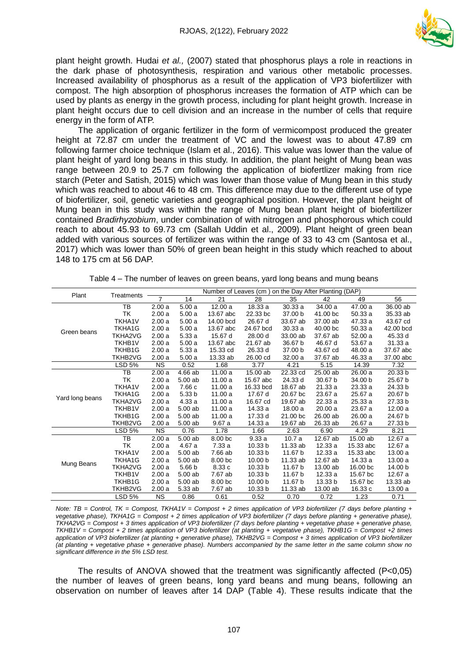

plant height growth. Hudai *et al.,* (2007) stated that phosphorus plays a role in reactions in the dark phase of photosynthesis, respiration and various other metabolic processes. Increased availability of phosphorus as a result of the application of VP3 biofertilizer with compost. The high absorption of phosphorus increases the formation of ATP which can be used by plants as energy in the growth process, including for plant height growth. Increase in plant height occurs due to cell division and an increase in the number of cells that require energy in the form of ATP.

The application of organic fertilizer in the form of vermicompost produced the greater height at 72.87 cm under the treatment of VC and the lowest was to about 47.89 cm following farmer choice technique (Islam et al., 2016). This value was lower than the value of plant height of yard long beans in this study. In addition, the plant height of Mung bean was range between 20.9 to 25.7 cm following the application of biofertlizer making from rice starch (Peter and Satish, 2015) which was lower than those value of Mung bean in this study which was reached to about 46 to 48 cm. This difference may due to the different use of type of biofertilizer, soil, genetic varieties and geographical position. However, the plant height of Mung bean in this study was within the range of Mung bean plant height of biofertilizer contained *Bradirhyzobium*, under combination of with nitrogen and phosphorous which could reach to about 45.93 to 69.73 cm (Sallah Uddin et al., 2009). Plant height of green bean added with various sources of fertilizer was within the range of 33 to 43 cm (Santosa et al., 2017) which was lower than 50% of green bean height in this study which reached to about 148 to 175 cm at 56 DAP.

| Plant           |                |           | Number of Leaves (cm) on the Day After Planting (DAP) |           |                    |          |          |           |                    |
|-----------------|----------------|-----------|-------------------------------------------------------|-----------|--------------------|----------|----------|-----------|--------------------|
|                 | Treatments     | 7         | 14                                                    | 21        | 28                 | 35       | 42       | 49        | 56                 |
|                 | TB             | 2.00a     | 5.00a                                                 | 12.00a    | 18.33 a            | 30.33a   | 34.00 a  | 47.00 a   | 36.00 ab           |
|                 | TK             | 2.00a     | 5.00a                                                 | 13.67 abc | 22.33 bc           | 37.00 b  | 41.00 bc | 50.33a    | 35.33 ab           |
|                 | TKHA1V         | 2.00a     | 5.00a                                                 | 14.00 bcd | 26.67 d            | 33.67 ab | 37,00 ab | 47.33 a   | 43.67 cd           |
| Green beans     | TKHA1G         | 2.00a     | 5.00a                                                 | 13.67 abc | 24.67 bcd          | 30.33a   | 40.00 bc | 50.33a    | 42.00 bcd          |
|                 | TKHA2VG        | 2.00a     | 5.33a                                                 | 15.67 d   | 28.00 d            | 33.00 ab | 37.67 ab | 52.00 a   | 45.33 d            |
|                 | TKHB1V         | 2.00a     | 5.00a                                                 | 13.67 abc | 21.67 ab           | 36.67 b  | 46.67 d  | 53.67 a   | 31.33a             |
|                 | TKHB1G         | 2.00a     | 5.33a                                                 | 15.33 cd  | 26.33 d            | 37.00 b  | 43.67 cd | 48.00 a   | 37.67 abc          |
|                 | TKHB2VG        | 2.00a     | 5.00a                                                 | 13.33 ab  | 26.00 cd           | 32.00 a  | 37.67 ab | 46.33 a   | 37.00 abc          |
|                 | <b>LSD 5%</b>  | <b>NS</b> | 0.52                                                  | 1.68      | 3.77               | 4.21     | 5.15     | 14.39     | 7.32               |
|                 | TB             | 2.00a     | 4.66 ab                                               | 11.00a    | 15.00 ab           | 22.33 cd | 25.00 ab | 26.00a    | 20.33 <sub>b</sub> |
|                 | TK             | 2.00a     | 5.00 ab                                               | 11.00a    | 15.67 abc          | 24.33 d  | 30.67 b  | 34.00 b   | 25.67 b            |
|                 | <b>TKHA1V</b>  | 2.00a     | 7.66 c                                                | 11.00a    | 16.33 bcd          | 18.67 ab | 21.33 a  | 23.33a    | 24.33 b            |
| Yard long beans | TKHA1G         | 2.00a     | 5.33 <sub>b</sub>                                     | 11.00a    | 17.67 d            | 20.67 bc | 23.67 a  | 25.67 a   | 20.67 b            |
|                 | <b>TKHA2VG</b> | 2.00a     | 4.33 a                                                | 11.00a    | 16.67 cd           | 19.67 ab | 22.33a   | 25.33a    | 27.33 b            |
|                 | TKHB1V         | 2.00a     | 5.00 ab                                               | 11.00 a   | 14.33 a            | 18.00 a  | 20.00 a  | 23.67 a   | 12.00a             |
|                 | TKHB1G         | 2.00a     | 5.00 ab                                               | 11.00a    | 17.33 d            | 21.00 bc | 26.00 ab | 26.00a    | 24.67 b            |
|                 | TKHB2VG        | 2.00a     | 5.00ab                                                | 9.67a     | 14.33 a            | 19.67 ab | 26.33 ab | 26.67 a   | 27.33 b            |
|                 | LSD 5%         | <b>NS</b> | 0.76                                                  | 1.78      | 1.66               | 2.63     | 6.90     | 4.29      | 8.21               |
|                 | TB             | 2.00a     | 5.00 ab                                               | 8.00 bc   | 9.33a              | 10.7a    | 12.67 ab | 15.00 ab  | 12.67 a            |
|                 | TK             | 2.00a     | 4.67 a                                                | 7.33a     | 10.33 b            | 11.33 ab | 12.33a   | 15.33 abc | 12.67 a            |
|                 | TKHA1V         | 2.00a     | 5.00 ab                                               | 7.66 ab   | 10.33 b            | 11.67 b  | 12.33a   | 15.33 abc | 13.00 a            |
| Mung Beans      | TKHA1G         | 2.00a     | 5.00 ab                                               | 8.00 bc   | 10.00 <sub>b</sub> | 11.33 ab | 12.67 ab | 14.33 a   | 13.00 a            |
|                 | TKHA2VG        | 2.00a     | 5.66 <sub>b</sub>                                     | 8.33c     | 10.33 <sub>b</sub> | 11.67 b  | 13.00 ab | 16.00 bc  | 14.00 b            |
|                 | <b>TKHB1V</b>  | 2.00a     | 5.00 ab                                               | 7.67 ab   | 10.33 b            | 11.67 b  | 12.33a   | 15.67 bc  | 12.67 a            |
|                 | TKHB1G         | 2.00a     | 5.00ab                                                | 8.00 bc   | 10.00 <sub>b</sub> | 11.67 b  | 13.33 b  | 15.67 bc  | 13.33 ab           |
|                 | TKHB2VG        | 2.00a     | 5.33 ab                                               | 7.67 ab   | 10.33 b            | 11.33 ab | 13.00 ab | 16.33 c   | 13.00 a            |
|                 | <b>LSD 5%</b>  | <b>NS</b> | 0.86                                                  | 0.61      | 0.52               | 0.70     | 0.72     | 1.23      | 0.71               |

Table 4 – The number of leaves on green beans, yard long beans and mung beans

*Note: TB = Control, TK = Compost, TKHA1V = Compost + 2 times application of VP3 biofertilizer (7 days before planting + vegetative phase), TKHA1G = Compost + 2 times application of VP3 biofertilizer (7 days before planting + generative phase), TKHA2VG = Compost + 3 times application of VP3 biofertilizer (7 days before planting + vegetative phase + generative phase, TKHB1V = Compost + 2 times application of VP3 biofertilizer (at planting + vegetative phase), TKHB1G = Compost +2 times application of VP3 biofertilizer (at planting + generative phase), TKHB2VG = Compost + 3 times application of VP3 biofertilizer (at planting + vegetative phase + generative phase). Numbers accompanied by the same letter in the same column show no significant difference in the 5% LSD test.*

The results of ANOVA showed that the treatment was significantly affected (P<0,05) the number of leaves of green beans, long yard beans and mung beans, following an observation on number of leaves after 14 DAP (Table 4). These results indicate that the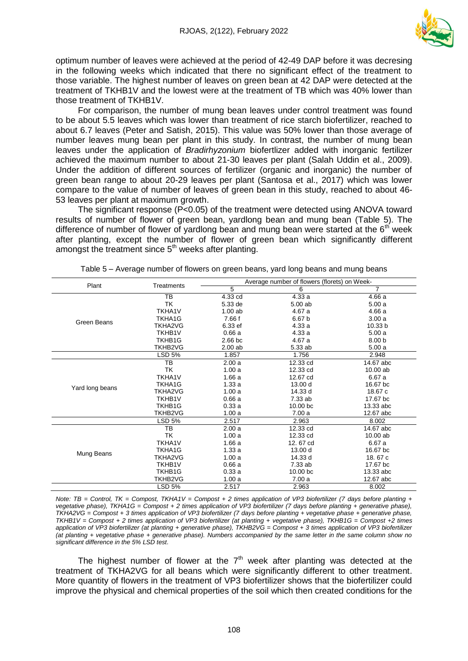

optimum number of leaves were achieved at the period of 42-49 DAP before it was decresing in the following weeks which indicated that there no significant effect of the treatment to those variable. The highest number of leaves on green bean at 42 DAP were detected at the treatment of TKHB1V and the lowest were at the treatment of TB which was 40% lower than those treatment of TKHB1V.

For comparison, the number of mung bean leaves under control treatment was found to be about 5.5 leaves which was lower than treatment of rice starch biofertilizer, reached to about 6.7 leaves (Peter and Satish, 2015). This value was 50% lower than those average of number leaves mung bean per plant in this study. In contrast, the number of mung bean leaves under the application of *Bradirhyzonium* biofertlizer added with inorganic fertilizer achieved the maximum number to about 21-30 leaves per plant (Salah Uddin et al., 2009). Under the addition of different sources of fertilizer (organic and inorganic) the number of green bean range to about 20-29 leaves per plant (Santosa et al., 2017) which was lower compare to the value of number of leaves of green bean in this study, reached to about 46- 53 leaves per plant at maximum growth.

The significant response (P<0.05) of the treatment were detected using ANOVA toward results of number of flower of green bean, yardlong bean and mung bean (Table 5). The difference of number of flower of yardlong bean and mung bean were started at the  $6<sup>th</sup>$  week after planting, except the number of flower of green bean which significantly different amongst the treatment since  $5<sup>th</sup>$  weeks after planting.

|                 | Treatments     | Average number of flowers (florets) on Week- |                     |                    |  |  |
|-----------------|----------------|----------------------------------------------|---------------------|--------------------|--|--|
| Plant           |                | 5                                            | 6                   | $\overline{7}$     |  |  |
|                 | <b>TB</b>      | 4.33 cd                                      | 4.33 a              | 4.66a              |  |  |
|                 | TK             | 5.33 de                                      | 5.00ab              | 5.00a              |  |  |
|                 | <b>TKHA1V</b>  | $1.00$ ab                                    | 4.67 a              | 4.66 a             |  |  |
| Green Beans     | TKHA1G         | 7.66 f                                       | 6.67 b              | 3.00a              |  |  |
|                 | <b>TKHA2VG</b> | 6.33 ef                                      | 4.33a               | 10.33 <sub>b</sub> |  |  |
|                 | <b>TKHB1V</b>  | 0.66a                                        | 4.33a               | 5.00a              |  |  |
|                 | TKHB1G         | $2.66$ bc                                    | 4.67 a              | 8.00 <sub>b</sub>  |  |  |
|                 | <b>TKHB2VG</b> | 2.00ab                                       | 5.33 ab             | 5.00a              |  |  |
|                 | <b>LSD 5%</b>  | 1.857                                        | 1.756               | 2.948              |  |  |
|                 | ТB             | 2.00a                                        | 12.33 cd            | 14.67 abc          |  |  |
|                 | TK             | 1.00a                                        | 12.33 cd            | 10.00 ab           |  |  |
|                 | TKHA1V         | 1.66a                                        | 12.67 cd            | 6.67 a             |  |  |
|                 | TKHA1G         | 1.33a                                        | 13.00 d             | 16.67 bc           |  |  |
| Yard long beans | <b>TKHA2VG</b> | 1.00a                                        | 14.33 d             | 18.67 c            |  |  |
|                 | <b>TKHB1V</b>  | 0.66a                                        | 7.33 ab             | 17.67 bc           |  |  |
|                 | TKHB1G         | 0.33a                                        | 10.00 <sub>bc</sub> | 13.33 abc          |  |  |
|                 | <b>TKHB2VG</b> | 1.00a                                        | 7.00a               | 12.67 abc          |  |  |
|                 | LSD 5%         | 2.517                                        | 2.963               | 8.002              |  |  |
|                 | TB             | 2.00a                                        | 12.33 cd            | 14.67 abc          |  |  |
|                 | TK             | 1.00a                                        | 12.33 cd            | $10.00$ ab         |  |  |
|                 | <b>TKHA1V</b>  | 1.66a                                        | 12, 67 cd           | 6.67 a             |  |  |
|                 | TKHA1G         | 1.33a                                        | 13.00 d             | 16.67 bc           |  |  |
| Mung Beans      | <b>TKHA2VG</b> | 1.00a                                        | 14.33 d             | 18.67 c            |  |  |
|                 | <b>TKHB1V</b>  | 0.66a                                        | 7.33 ab             | 17.67 bc           |  |  |
|                 | TKHB1G         | 0.33a                                        | 10.00 bc            | 13.33 abc          |  |  |
|                 | TKHB2VG        | 1.00a                                        | 7.00a               | 12.67 abc          |  |  |
|                 | LSD 5%         | 2.517                                        | 2.963               | 8.002              |  |  |

Table 5 – Average number of flowers on green beans, yard long beans and mung beans

*Note: TB = Control, TK = Compost, TKHA1V = Compost + 2 times application of VP3 biofertilizer (7 days before planting + vegetative phase), TKHA1G = Compost + 2 times application of VP3 biofertilizer (7 days before planting + generative phase), TKHA2VG = Compost + 3 times application of VP3 biofertilizer (7 days before planting + vegetative phase + generative phase, TKHB1V = Compost + 2 times application of VP3 biofertilizer (at planting + vegetative phase), TKHB1G = Compost +2 times application of VP3 biofertilizer (at planting + generative phase), TKHB2VG = Compost + 3 times application of VP3 biofertilizer (at planting + vegetative phase + generative phase). Numbers accompanied by the same letter in the same column show no significant difference in the 5% LSD test.*

The highest number of flower at the  $7<sup>th</sup>$  week after planting was detected at the treatment of TKHA2VG for all beans which were significantly different to other treatment. More quantity of flowers in the treatment of VP3 biofertilizer shows that the biofertilizer could improve the physical and chemical properties of the soil which then created conditions for the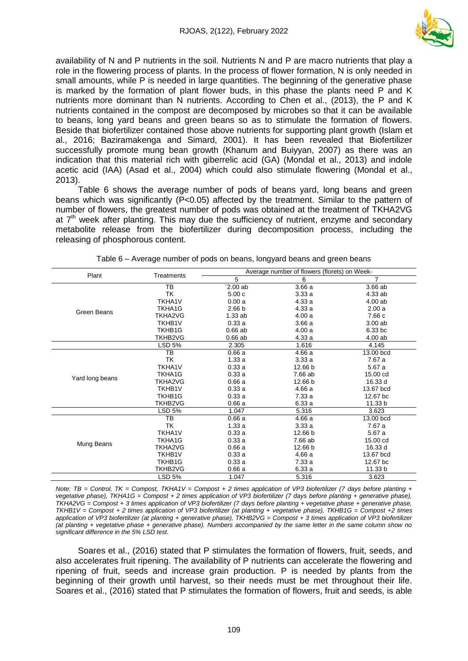

availability of N and P nutrients in the soil. Nutrients N and P are macro nutrients that play a role in the flowering process of plants. In the process of flower formation, N is only needed in small amounts, while P is needed in large quantities. The beginning of the generative phase is marked by the formation of plant flower buds, in this phase the plants need P and K nutrients more dominant than N nutrients. According to Chen et al., (2013), the P and K nutrients contained in the compost are decomposed by microbes so that it can be available to beans, long yard beans and green beans so as to stimulate the formation of flowers. Beside that biofertilizer contained those above nutrients for supporting plant growth (Islam et al., 2016; Baziramakenga and Simard, 2001). It has been revealed that Biofertilizer successfully promote mung bean growth (Khanum and Buiyyan, 2007) as there was an indication that this material rich with giberrelic acid (GA) (Mondal et al., 2013) and indole acetic acid (IAA) (Asad et al., 2004) which could also stimulate flowering (Mondal et al., 2013).

Table 6 shows the average number of pods of beans yard, long beans and green beans which was significantly (P<0.05) affected by the treatment. Similar to the pattern of number of flowers, the greatest number of pods was obtained at the treatment of TKHA2VG at  $7<sup>th</sup>$  week after planting. This may due the sufficiency of nutrient, enzyme and secondary metabolite release from the biofertilizer during decomposition process, including the releasing of phosphorous content.

| Plant           | Treatments    | Average number of flowers (florets) on Week- |         |                |  |  |
|-----------------|---------------|----------------------------------------------|---------|----------------|--|--|
|                 |               | 5                                            | 6       | $\overline{7}$ |  |  |
|                 | TB            | 2.00 ab                                      | 3.66a   | 3.66 ab        |  |  |
|                 | TK            | 5.00c                                        | 3.33a   | 4.33 ab        |  |  |
|                 | TKHA1V        | 0.00a                                        | 4.33a   | 4.00 ab        |  |  |
| Green Beans     | TKHA1G        | 2.66 <sub>b</sub>                            | 4.33a   | 2.00a          |  |  |
|                 | TKHA2VG       | 1.33ab                                       | 4.00a   | 7.66 c         |  |  |
|                 | <b>TKHB1V</b> | 0.33a                                        | 3.66a   | 3.00ab         |  |  |
|                 | TKHB1G        | $0.66$ ab                                    | 4.00a   | 6.33 bc        |  |  |
|                 | TKHB2VG       | $0.66$ ab                                    | 4.33a   | 4.00ab         |  |  |
|                 | LSD 5%        | 2.305                                        | 1.616   | 4.145          |  |  |
|                 | TB            | 0.66a                                        | 4.66a   | 13.00 bcd      |  |  |
|                 | TK            | 1.33a                                        | 3.33a   | 7.67 a         |  |  |
|                 | TKHA1V        | 0.33a                                        | 12.66 b | 5.67 a         |  |  |
| Yard long beans | TKHA1G        | 0.33a                                        | 7.66 ab | 15.00 cd       |  |  |
|                 | TKHA2VG       | 0.66a                                        | 12.66 b | 16.33 d        |  |  |
|                 | <b>TKHB1V</b> | 0.33a                                        | 4.66a   | 13.67 bcd      |  |  |
|                 | TKHB1G        | 0.33a                                        | 7.33a   | 12.67 bc       |  |  |
|                 | TKHB2VG       | 0.66a                                        | 6.33a   | 11.33 b        |  |  |
|                 | <b>LSD 5%</b> | 1.047                                        | 5.316   | 3.623          |  |  |
|                 | ТB            | 0.66a                                        | 4.66a   | 13.00 bcd      |  |  |
|                 | TK            | 1.33a                                        | 3.33a   | 7.67 a         |  |  |
|                 | <b>TKHA1V</b> | 0.33a                                        | 12.66 b | 5.67 a         |  |  |
| Mung Beans      | <b>TKHA1G</b> | 0.33a                                        | 7.66 ab | 15.00 cd       |  |  |
|                 | TKHA2VG       | 0.66a                                        | 12.66 b | 16.33 d        |  |  |
|                 | <b>TKHB1V</b> | 0.33a                                        | 4.66a   | 13.67 bcd      |  |  |
|                 | TKHB1G        | 0.33a                                        | 7.33a   | 12.67 bc       |  |  |
|                 | TKHB2VG       | 0.66a                                        | 6.33a   | 11.33 b        |  |  |
|                 | <b>LSD 5%</b> | 1.047                                        | 5.316   | 3.623          |  |  |

Table 6 – Average number of pods on beans, longyard beans and green beans

*Note: TB = Control, TK = Compost, TKHA1V = Compost + 2 times application of VP3 biofertilizer (7 days before planting + vegetative phase), TKHA1G = Compost + 2 times application of VP3 biofertilizer (7 days before planting + generative phase), TKHA2VG = Compost + 3 times application of VP3 biofertilizer (7 days before planting + vegetative phase + generative phase, TKHB1V = Compost + 2 times application of VP3 biofertilizer (at planting + vegetative phase), TKHB1G = Compost +2 times application of VP3 biofertilizer (at planting + generative phase), TKHB2VG = Compost + 3 times application of VP3 biofertilizer (at planting + vegetative phase + generative phase). Numbers accompanied by the same letter in the same column show no significant difference in the 5% LSD test.*

Soares et al., (2016) stated that P stimulates the formation of flowers, fruit, seeds, and also accelerates fruit ripening. The availability of P nutrients can accelerate the flowering and ripening of fruit, seeds and increase grain production. P is needed by plants from the beginning of their growth until harvest, so their needs must be met throughout their life. Soares et al., (2016) stated that P stimulates the formation of flowers, fruit and seeds, is able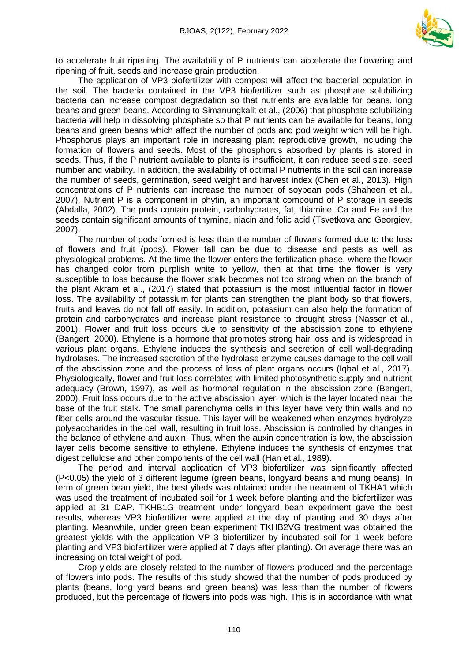

to accelerate fruit ripening. The availability of P nutrients can accelerate the flowering and ripening of fruit, seeds and increase grain production.

The application of VP3 biofertilizer with compost will affect the bacterial population in the soil. The bacteria contained in the VP3 biofertilizer such as phosphate solubilizing bacteria can increase compost degradation so that nutrients are available for beans, long beans and green beans. According to Simanungkalit et al., (2006) that phosphate solubilizing bacteria will help in dissolving phosphate so that P nutrients can be available for beans, long beans and green beans which affect the number of pods and pod weight which will be high. Phosphorus plays an important role in increasing plant reproductive growth, including the formation of flowers and seeds. Most of the phosphorus absorbed by plants is stored in seeds. Thus, if the P nutrient available to plants is insufficient, it can reduce seed size, seed number and viability. In addition, the availability of optimal P nutrients in the soil can increase the number of seeds, germination, seed weight and harvest index (Chen et al., 2013). High concentrations of P nutrients can increase the number of soybean pods (Shaheen et al., 2007). Nutrient P is a component in phytin, an important compound of P storage in seeds (Abdalla, 2002). The pods contain protein, carbohydrates, fat, thiamine, Ca and Fe and the seeds contain significant amounts of thymine, niacin and folic acid (Tsvetkova and Georgiev, 2007).

The number of pods formed is less than the number of flowers formed due to the loss of flowers and fruit (pods). Flower fall can be due to disease and pests as well as physiological problems. At the time the flower enters the fertilization phase, where the flower has changed color from purplish white to yellow, then at that time the flower is very susceptible to loss because the flower stalk becomes not too strong when on the branch of the plant Akram et al., (2017) stated that potassium is the most influential factor in flower loss. The availability of potassium for plants can strengthen the plant body so that flowers, fruits and leaves do not fall off easily. In addition, potassium can also help the formation of protein and carbohydrates and increase plant resistance to drought stress (Nasser et al., 2001). Flower and fruit loss occurs due to sensitivity of the abscission zone to ethylene (Bangert, 2000). Ethylene is a hormone that promotes strong hair loss and is widespread in various plant organs. Ethylene induces the synthesis and secretion of cell wall-degrading hydrolases. The increased secretion of the hydrolase enzyme causes damage to the cell wall of the abscission zone and the process of loss of plant organs occurs (Iqbal et al., 2017). Physiologically, flower and fruit loss correlates with limited photosynthetic supply and nutrient adequacy (Brown, 1997), as well as hormonal regulation in the abscission zone (Bangert, 2000). Fruit loss occurs due to the active abscission layer, which is the layer located near the base of the fruit stalk. The small parenchyma cells in this layer have very thin walls and no fiber cells around the vascular tissue. This layer will be weakened when enzymes hydrolyze polysaccharides in the cell wall, resulting in fruit loss. Abscission is controlled by changes in the balance of ethylene and auxin. Thus, when the auxin concentration is low, the abscission layer cells become sensitive to ethylene. Ethylene induces the synthesis of enzymes that digest cellulose and other components of the cell wall (Han et al., 1989).

The period and interval application of VP3 biofertilizer was significantly affected (P<0.05) the yield of 3 different legume (green beans, longyard beans and mung beans). In term of green bean yield, the best yileds was obtained under the treatment of TKHA1 which was used the treatment of incubated soil for 1 week before planting and the biofertilizer was applied at 31 DAP. TKHB1G treatment under longyard bean experiment gave the best results, whereas VP3 biofertilizer were applied at the day of planting and 30 days after planting. Meanwhile, under green bean experiment TKHB2VG treatment was obtained the greatest yields with the application VP 3 biofertilizer by incubated soil for 1 week before planting and VP3 biofertilizer were applied at 7 days after planting). On average there was an increasing on total weight of pod.

Crop yields are closely related to the number of flowers produced and the percentage of flowers into pods. The results of this study showed that the number of pods produced by plants (beans, long yard beans and green beans) was less than the number of flowers produced, but the percentage of flowers into pods was high. This is in accordance with what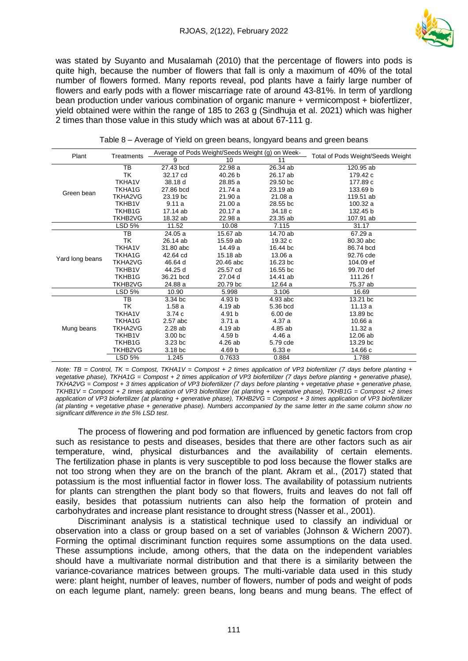

was stated by Suyanto and Musalamah (2010) that the percentage of flowers into pods is quite high, because the number of flowers that fall is only a maximum of 40% of the total number of flowers formed. Many reports reveal, pod plants have a fairly large number of flowers and early pods with a flower miscarriage rate of around 43-81%. In term of yardlong bean production under various combination of organic manure + vermicompost + biofertlizer, yield obtained were within the range of 185 to 263 g (Sindhuja et al. 2021) which was higher 2 times than those value in this study which was at about 67-111 g.

| Plant           | Treatments     |                    | Average of Pods Weight/Seeds Weight (g) on Week- | Total of Pods Weight/Seeds Weight |           |
|-----------------|----------------|--------------------|--------------------------------------------------|-----------------------------------|-----------|
|                 |                | 9                  | 10                                               | 11                                |           |
|                 | TB             | 27.43 bcd          | 22.98 a                                          | 26.34 ab                          | 120.95 ab |
|                 | ТK             | 32.17 cd           | 40.26 b                                          | 26.17 ab                          | 179.42 c  |
|                 | TKHA1V         | 38.18 d            | 28.85 a                                          | 29.50 bc                          | 177.89 c  |
| Green bean      | TKHA1G         | 27.86 bcd          | 21.74 a                                          | 23.19 ab                          | 133.69 b  |
|                 | TKHA2VG        | 23.19 bc           | 21.90 a                                          | 21.08a                            | 119.51 ab |
|                 | <b>TKHB1V</b>  | 9.11a              | 21.00a                                           | 28.55 bc                          | 100.32 a  |
|                 | TKHB1G         | 17.14 ab           | 20.17 a                                          | 34.18 c                           | 132.45 b  |
|                 | <b>TKHB2VG</b> | 18.32 ab           | 22.98 a                                          | 23.35 ab                          | 107.91 ab |
|                 | LSD 5%         | 11.52              | 10.08                                            | 7.115                             | 31.17     |
|                 | TB             | 24.05 a            | 15.67 ab                                         | 14.70 ab                          | 67.29 a   |
|                 | TK             | 26.14 ab           | 15.59 ab                                         | 19.32 c                           | 80.30 abc |
|                 | TKHA1V         | 31.80 abc          | 14.49 a                                          | 16.44 bc                          | 86.74 bcd |
| Yard long beans | TKHA1G         | 42.64 cd           | 15.18 ab                                         | 13.06 a                           | 92.76 cde |
|                 | TKHA2VG        | 46.64 d            | 20.46 abc                                        | 16.23 bc                          | 104.09 ef |
|                 | <b>TKHB1V</b>  | 44.25 d            | 25.57 cd                                         | 16.55 bc                          | 99.70 def |
|                 | TKHB1G         | 36.21 bcd          | 27.04 d                                          | 14.41 ab                          | 111.26 f  |
|                 | TKHB2VG        | 24.88 a            | 20.79 bc                                         | 12.64 a                           | 75.37 ab  |
|                 | <b>LSD 5%</b>  | 10.90              | 5.998                                            | 3.106                             | 16.69     |
|                 | TB             | 3.34 bc            | 4.93 b                                           | 4.93 abc                          | 13.21 bc  |
|                 | TK             | 1.58a              | 4.19 ab                                          | 5.36 bcd                          | 11.13a    |
|                 | <b>TKHA1V</b>  | 3.74c              | 4.91 b                                           | 6.00 de                           | 13.89 bc  |
|                 | TKHA1G         | 2.57 abc           | 3.71a                                            | 4.37 a                            | 10.66a    |
| Mung beans      | TKHA2VG        | 2.28ab             | 4.19 ab                                          | 4.85 ab                           | 11.32 a   |
|                 | <b>TKHB1V</b>  | 3.00 <sub>bc</sub> | 4.59 b                                           | 4.46 a                            | 12.06 ab  |
|                 | TKHB1G         | $3.23$ bc          | 4.26 ab                                          | 5.79 cde                          | 13.29 bc  |
|                 | TKHB2VG        | 3.18 bc            | 4.69 b                                           | 6.33 e                            | 14.66 c   |
|                 | <b>LSD 5%</b>  | 1.245              | 0.7633                                           | 0.884                             | 1.788     |

*Note: TB = Control, TK = Compost, TKHA1V = Compost + 2 times application of VP3 biofertilizer (7 days before planting + vegetative phase), TKHA1G = Compost + 2 times application of VP3 biofertilizer (7 days before planting + generative phase), TKHA2VG = Compost + 3 times application of VP3 biofertilizer (7 days before planting + vegetative phase + generative phase, TKHB1V = Compost + 2 times application of VP3 biofertilizer (at planting + vegetative phase), TKHB1G = Compost +2 times application of VP3 biofertilizer (at planting + generative phase), TKHB2VG = Compost + 3 times application of VP3 biofertilizer (at planting + vegetative phase + generative phase). Numbers accompanied by the same letter in the same column show no significant difference in the 5% LSD test.*

The process of flowering and pod formation are influenced by genetic factors from crop such as resistance to pests and diseases, besides that there are other factors such as air temperature, wind, physical disturbances and the availability of certain elements. The fertilization phase in plants is very susceptible to pod loss because the flower stalks are not too strong when they are on the branch of the plant. Akram et al., (2017) stated that potassium is the most influential factor in flower loss. The availability of potassium nutrients for plants can strengthen the plant body so that flowers, fruits and leaves do not fall off easily, besides that potassium nutrients can also help the formation of protein and carbohydrates and increase plant resistance to drought stress (Nasser et al., 2001).

Discriminant analysis is a statistical technique used to classify an individual or observation into a class or group based on a set of variables (Johnson & Wichern 2007). Forming the optimal discriminant function requires some assumptions on the data used. These assumptions include, among others, that the data on the independent variables should have a multivariate normal distribution and that there is a similarity between the variance-covariance matrices between groups. The multi-variable data used in this study were: plant height, number of leaves, number of flowers, number of pods and weight of pods on each legume plant, namely: green beans, long beans and mung beans. The effect of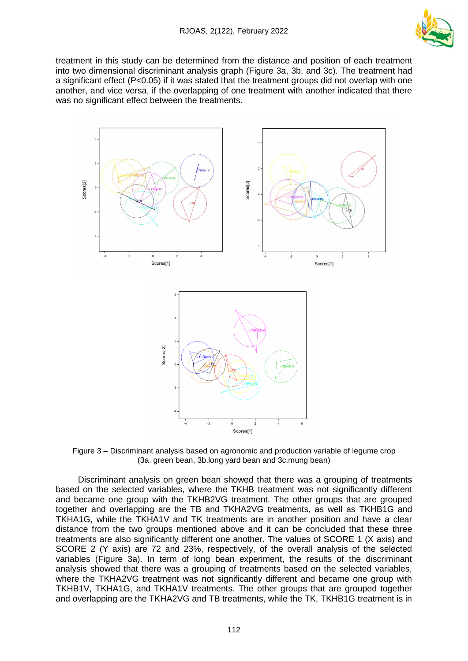

treatment in this study can be determined from the distance and position of each treatment into two dimensional discriminant analysis graph (Figure 3a, 3b. and 3c). The treatment had a significant effect (P<0.05) if it was stated that the treatment groups did not overlap with one another, and vice versa, if the overlapping of one treatment with another indicated that there was no significant effect between the treatments.



Figure 3 – Discriminant analysis based on agronomic and production variable of legume crop (3a. green bean, 3b.long yard bean and 3c.mung bean)

Discriminant analysis on green bean showed that there was a grouping of treatments based on the selected variables, where the TKHB treatment was not significantly different and became one group with the TKHB2VG treatment. The other groups that are grouped together and overlapping are the TB and TKHA2VG treatments, as well as TKHB1G and TKHA1G, while the TKHA1V and TK treatments are in another position and have a clear distance from the two groups mentioned above and it can be concluded that these three treatments are also significantly different one another. The values of SCORE 1 (X axis) and SCORE 2 (Y axis) are 72 and 23%, respectively, of the overall analysis of the selected variables (Figure 3a). In term of long bean experiment, the results of the discriminant analysis showed that there was a grouping of treatments based on the selected variables, where the TKHA2VG treatment was not significantly different and became one group with TKHB1V, TKHA1G, and TKHA1V treatments. The other groups that are grouped together and overlapping are the TKHA2VG and TB treatments, while the TK, TKHB1G treatment is in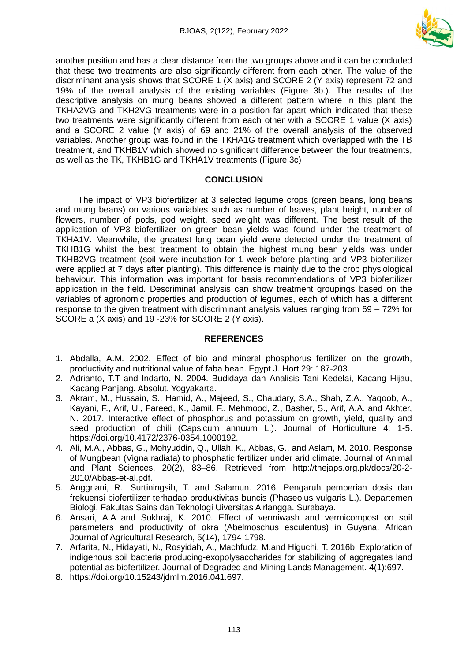

another position and has a clear distance from the two groups above and it can be concluded that these two treatments are also significantly different from each other. The value of the discriminant analysis shows that SCORE 1 (X axis) and SCORE 2 (Y axis) represent 72 and 19% of the overall analysis of the existing variables (Figure 3b.). The results of the descriptive analysis on mung beans showed a different pattern where in this plant the TKHA2VG and TKH2VG treatments were in a position far apart which indicated that these two treatments were significantly different from each other with a SCORE 1 value (X axis) and a SCORE 2 value (Y axis) of 69 and 21% of the overall analysis of the observed variables. Another group was found in the TKHA1G treatment which overlapped with the TB treatment, and TKHB1V which showed no significant difference between the four treatments, as well as the TK, TKHB1G and TKHA1V treatments (Figure 3c)

## **CONCLUSION**

The impact of VP3 biofertilizer at 3 selected legume crops (green beans, long beans and mung beans) on various variables such as number of leaves, plant height, number of flowers, number of pods, pod weight, seed weight was different. The best result of the application of VP3 biofertilizer on green bean yields was found under the treatment of TKHA1V. Meanwhile, the greatest long bean yield were detected under the treatment of TKHB1G whilst the best treatment to obtain the highest mung bean yields was under TKHB2VG treatment (soil were incubation for 1 week before planting and VP3 biofertilizer were applied at 7 days after planting). This difference is mainly due to the crop physiological behaviour. This information was important for basis recommendations of VP3 biofertilizer application in the field. Descriminat analysis can show treatment groupings based on the variables of agronomic properties and production of legumes, each of which has a different response to the given treatment with discriminant analysis values ranging from 69 – 72% for SCORE a (X axis) and 19 -23% for SCORE 2 (Y axis).

## **REFERENCES**

- 1. Abdalla, A.M. 2002. Effect of bio and mineral phosphorus fertilizer on the growth, productivity and nutritional value of faba bean. Egypt J. Hort 29: 187-203.
- 2. Adrianto, T.T and Indarto, N. 2004. Budidaya dan Analisis Tani Kedelai, Kacang Hijau, Kacang Panjang. Absolut. Yogyakarta.
- 3. Akram, M., Hussain, S., Hamid, A., Majeed, S., Chaudary, S.A., Shah, Z.A., Yaqoob, A., Kayani, F., Arif, U., Fareed, K., Jamil, F., Mehmood, Z., Basher, S., Arif, A.A. and Akhter, N. 2017. Interactive effect of phosphorus and potassium on growth, yield, quality and seed production of chili (Capsicum annuum L.). Journal of Horticulture 4: 1-5. https://doi.org/10.4172/2376-0354.1000192.
- 4. Ali, M.A., Abbas, G., Mohyuddin, Q., Ullah, K., Abbas, G., and Aslam, M. 2010. Response of Mungbean (Vigna radiata) to phosphatic fertilizer under arid climate. Journal of Animal and Plant Sciences, 20(2), 83–86. Retrieved from http://thejaps.org.pk/docs/20-2- 2010/Abbas-et-al.pdf.
- 5. Anggriani, R., Surtiningsih, T. and Salamun. 2016. Pengaruh pemberian dosis dan frekuensi biofertilizer terhadap produktivitas buncis (Phaseolus vulgaris L.). Departemen Biologi. Fakultas Sains dan Teknologi Uiversitas Airlangga. Surabaya.
- 6. Ansari, A.A and Sukhraj, K. 2010. Effect of vermiwash and vermicompost on soil parameters and productivity of okra (Abelmoschus esculentus) in Guyana. African Journal of Agricultural Research, 5(14), 1794-1798.
- 7. Arfarita, N., Hidayati, N., Rosyidah, A., Machfudz, M.and Higuchi, T. 2016b. Exploration of indigenous soil bacteria producing-exopolysaccharides for stabilizing of aggregates land potential as biofertilizer. Journal of Degraded and Mining Lands Management. 4(1):697.
- 8. https://doi.org/10.15243/jdmlm.2016.041.697.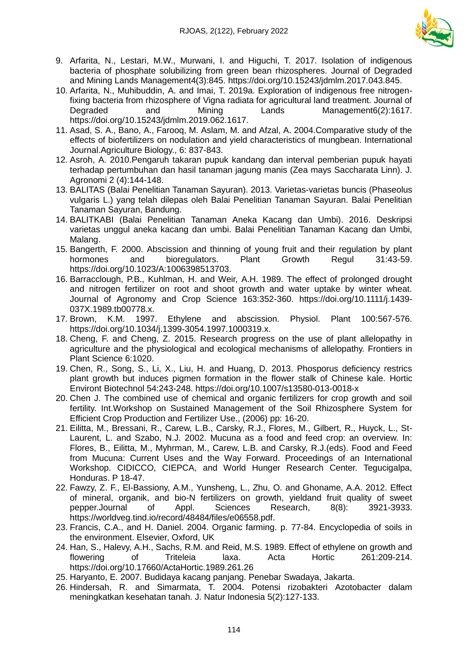

- 9. Arfarita, N., Lestari, M.W., Murwani, I. and Higuchi, T. 2017. Isolation of indigenous bacteria of phosphate solubilizing from green bean rhizospheres. Journal of Degraded and Mining Lands Management4(3):845. https://doi.org/10.15243/jdmlm.2017.043.845.
- 10. Arfarita, N., Muhibuddin, A. and Imai, T. 2019a. Exploration of indigenous free nitrogenfixing bacteria from rhizosphere of Vigna radiata for agricultural land treatment. Journal of Degraded and Mining Lands Management6(2):1617. https://doi.org/10.15243/jdmlm.2019.062.1617.
- 11. Asad, S. A., Bano, A., Farooq, M. Aslam, M. and Afzal, A. 2004.Comparative study of the effects of biofertilizers on nodulation and yield characteristics of mungbean. International Journal.Agriculture Biology., 6: 837-843.
- 12. Asroh, A. 2010.Pengaruh takaran pupuk kandang dan interval pemberian pupuk hayati terhadap pertumbuhan dan hasil tanaman jagung manis (Zea mays Saccharata Linn). J. Agronomi 2 (4):144-148.
- 13. BALITAS (Balai Penelitian Tanaman Sayuran). 2013. Varietas-varietas buncis (Phaseolus vulgaris L.) yang telah dilepas oleh Balai Penelitian Tanaman Sayuran. Balai Penelitian Tanaman Sayuran, Bandung.
- 14. BALITKABI (Balai Penelitian Tanaman Aneka Kacang dan Umbi). 2016. Deskripsi varietas unggul aneka kacang dan umbi. Balai Penelitian Tanaman Kacang dan Umbi, Malang.
- 15. Bangerth, F. 2000. Abscission and thinning of young fruit and their regulation by plant hormones and bioregulators. Plant Growth Regul 31:43-59. https://doi.org/10.1023/A:1006398513703.
- 16. Barracclough, P.B., Kuhlman, H. and Weir, A.H. 1989. The effect of prolonged drought and nitrogen fertilizer on root and shoot growth and water uptake by winter wheat. Journal of Agronomy and Crop Science 163:352-360. https://doi.org/10.1111/j.1439- 037X.1989.tb00778.x.
- 17. Brown, K.M. 1997. Ethylene and abscission. Physiol. Plant 100:567-576. https://doi.org/10.1034/j.1399-3054.1997.1000319.x.
- 18. Cheng, F. and Cheng, Z. 2015. Research progress on the use of plant allelopathy in agriculture and the physiological and ecological mechanisms of allelopathy. Frontiers in Plant Science 6:1020.
- 19. Chen, R., Song, S., Li, X., Liu, H. and Huang, D. 2013. Phosporus deficiency restrics plant growth but induces pigmen formation in the flower stalk of Chinese kale. Hortic Environt Biotechnol 54:243-248. https://doi.org/10.1007/s13580-013-0018-x
- 20. Chen J. The combined use of chemical and organic fertilizers for crop growth and soil fertility. Int.Workshop on Sustained Management of the Soil Rhizosphere System for Efficient Crop Production and Fertilizer Use., (2006) pp: 16-20.
- 21. Eilitta, M., Bressani, R., Carew, L.B., Carsky, R.J., Flores, M., Gilbert, R., Huyck, L., St-Laurent, L. and Szabo, N.J. 2002. Mucuna as a food and feed crop: an overview. In: Flores, B., Eilitta, M., Myhrman, M., Carew, L.B. and Carsky, R.J.(eds). Food and Feed from Mucuna: Current Uses and the Way Forward. Proceedings of an International Workshop. CIDICCO, CIEPCA, and World Hunger Research Center. Tegucigalpa, Honduras. P 18-47.
- 22. Fawzy, Z. F., El-Bassiony, A.M., Yunsheng, L., Zhu, O. and Ghoname, A.A. 2012. Effect of mineral, organik, and bio-N fertilizers on growth, yieldand fruit quality of sweet pepper.Journal of Appl. Sciences Research, 8(8): 3921-3933. https://worldveg.tind.io/record/48484/files/e06558.pdf.
- 23. Francis, C.A., and H. Daniel. 2004. Organic farming. p. 77-84. Encyclopedia of soils in the environment. Elsevier, Oxford, UK
- 24. Han, S., Halevy, A.H., Sachs, R.M. and Reid, M.S. 1989. Effect of ethylene on growth and flowering of Triteleia laxa. Acta Hortic 261:209-214. https://doi.org/10.17660/ActaHortic.1989.261.26
- 25. Haryanto, E. 2007. Budidaya kacang panjang. Penebar Swadaya, Jakarta.
- 26. Hindersah, R. and Simarmata, T. 2004. Potensi rizobakteri Azotobacter dalam meningkatkan kesehatan tanah. J. Natur Indonesia 5(2):127-133.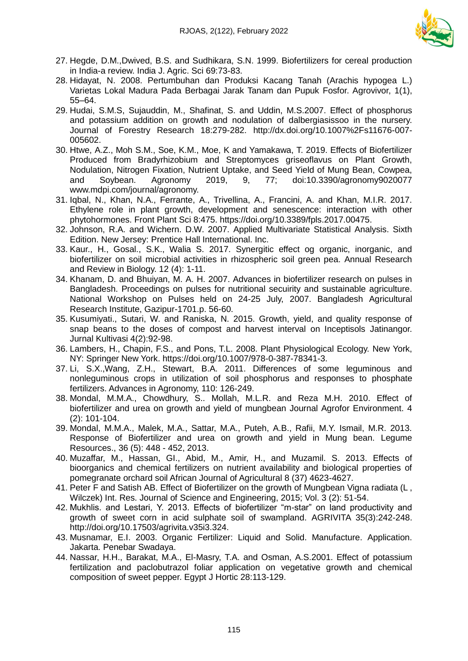

- 27. Hegde, D.M.,Dwived, B.S. and Sudhikara, S.N. 1999. Biofertilizers for cereal production in India-a review. India J. Agric. Sci 69:73-83.
- 28. Hidayat, N. 2008. Pertumbuhan dan Produksi Kacang Tanah (Arachis hypogea L.) Varietas Lokal Madura Pada Berbagai Jarak Tanam dan Pupuk Fosfor. Agrovivor, 1(1), 55–64.
- 29. Hudai, S.M.S, Sujauddin, M., Shafinat, S. and Uddin, M.S.2007. Effect of phosphorus and potassium addition on growth and nodulation of dalbergiasissoo in the nursery. Journal of Forestry Research 18:279-282. http://dx.doi.org/10.1007%2Fs11676-007- 005602.
- 30. Htwe, A.Z., Moh S.M., Soe, K.M., Moe, K and Yamakawa, T. 2019. Effects of Biofertilizer Produced from Bradyrhizobium and Streptomyces griseoflavus on Plant Growth, Nodulation, Nitrogen Fixation, Nutrient Uptake, and Seed Yield of Mung Bean, Cowpea, and Soybean. Agronomy 2019, 9, 77; doi:10.3390/agronomy9020077 www.mdpi.com/journal/agronomy.
- 31. Iqbal, N., Khan, N.A., Ferrante, A., Trivellina, A., Francini, A. and Khan, M.I.R. 2017. Ethylene role in plant growth, development and senescence: interaction with other phytohormones. Front Plant Sci 8:475. https://doi.org/10.3389/fpls.2017.00475.
- 32. Johnson, R.A. and Wichern. D.W. 2007. Applied Multivariate Statistical Analysis. Sixth Edition. New Jersey: Prentice Hall International. Inc.
- 33. Kaur., H., Gosal., S.K., Walia S. 2017. Synergitic effect og organic, inorganic, and biofertilizer on soil microbial activities in rhizospheric soil green pea. Annual Research and Review in Biology. 12 (4): 1-11.
- 34. Khanam, D. and Bhuiyan, M. A. H. 2007. Advances in biofertilizer research on pulses in Bangladesh. Proceedings on pulses for nutritional secuirity and sustainable agriculture. National Workshop on Pulses held on 24-25 July, 2007. Bangladesh Agricultural Research Institute, Gazipur-1701.p. 56-60.
- 35. Kusumiyati., Sutari, W. and Raniska, N. 2015. Growth, yield, and quality response of snap beans to the doses of compost and harvest interval on Inceptisols Jatinangor. Jurnal Kultivasi 4(2):92-98.
- 36. Lambers, H., Chapin, F.S., and Pons, T.L. 2008. Plant Physiological Ecology. New York, NY: Springer New York. https://doi.org/10.1007/978-0-387-78341-3.
- 37. Li, S.X.,Wang, Z.H., Stewart, B.A. 2011. Differences of some leguminous and nonleguminous crops in utilization of soil phosphorus and responses to phosphate fertilizers. Advances in Agronomy, 110: 126-249.
- 38. Mondal, M.M.A., Chowdhury, S.. Mollah, M.L.R. and Reza M.H. 2010. Effect of biofertilizer and urea on growth and yield of mungbean Journal Agrofor Environment. 4 (2): 101-104.
- 39. Mondal, M.M.A., Malek, M.A., Sattar, M.A., Puteh, A.B., Rafii, M.Y. Ismail, M.R. 2013. Response of Biofertilizer and urea on growth and yield in Mung bean. Legume Resources., 36 (5): 448 - 452, 2013.
- 40. Muzaffar, M., Hassan, GI., Abid, M., Amir, H., and Muzamil. S. 2013. Effects of bioorganics and chemical fertilizers on nutrient availability and biological properties of pomegranate orchard soil African Journal of Agricultural 8 (37) 4623-4627.
- 41. Peter F and Satish AB. Effect of Biofertilizer on the growth of Mungbean Vigna radiata (L , Wilczek) Int. Res. Journal of Science and Engineering, 2015; Vol. 3 (2): 51-54.
- 42. Mukhlis. and Lestari, Y. 2013. Effects of biofertilizer "m-star" on land productivity and growth of sweet corn in acid sulphate soil of swampland. AGRIVITA 35(3):242-248. http://doi.org/10.17503/agrivita.v35i3.324.
- 43. Musnamar, E.I. 2003. Organic Fertilizer: Liquid and Solid. Manufacture. Application. Jakarta. Penebar Swadaya.
- 44. Nassar, H.H., Barakat, M.A., El-Masry, T.A. and Osman, A.S.2001. Effect of potassium fertilization and paclobutrazol foliar application on vegetative growth and chemical composition of sweet pepper. Egypt J Hortic 28:113-129.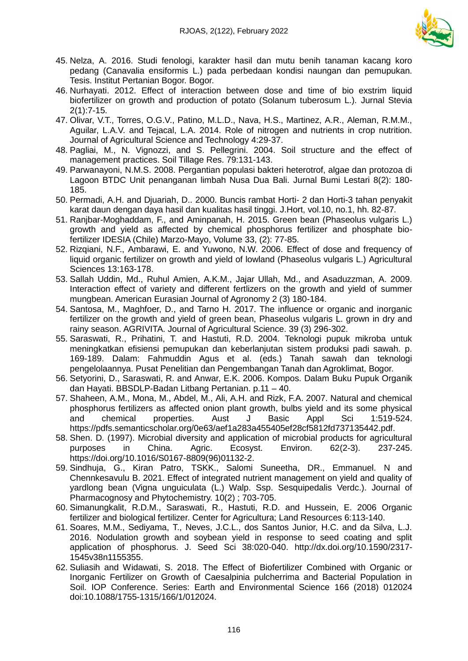

- 45. Nelza, A. 2016. Studi fenologi, karakter hasil dan mutu benih tanaman kacang koro pedang (Canavalia ensiformis L.) pada perbedaan kondisi naungan dan pemupukan. Tesis. Institut Pertanian Bogor. Bogor.
- 46. Nurhayati. 2012. Effect of interaction between dose and time of bio exstrim liquid biofertilizer on growth and production of potato (Solanum tuberosum L.). Jurnal Stevia 2(1):7-15.
- 47. Olivar, V.T., Torres, O.G.V., Patino, M.L.D., Nava, H.S., Martinez, A.R., Aleman, R.M.M., Aguilar, L.A.V. and Tejacal, L.A. 2014. Role of nitrogen and nutrients in crop nutrition. Journal of Agricultural Science and Technology 4:29-37.
- 48. Pagliai, M., N. Vignozzi, and S. Pellegrini. 2004. Soil structure and the effect of management practices. Soil Tillage Res. 79:131-143.
- 49. Parwanayoni, N.M.S. 2008. Pergantian populasi bakteri heterotrof, algae dan protozoa di Lagoon BTDC Unit penanganan limbah Nusa Dua Bali. Jurnal Bumi Lestari 8(2): 180- 185.
- 50. Permadi, A.H. and Djuariah, D.. 2000. Buncis rambat Horti- 2 dan Horti-3 tahan penyakit karat daun dengan daya hasil dan kualitas hasil tinggi. J.Hort, vol.10, no.1, hh. 82-87.
- 51. Ranjbar-Moghaddam, F., and Aminpanah, H. 2015. Green bean (Phaseolus vulgaris L.) growth and yield as affected by chemical phosphorus fertilizer and phosphate biofertilizer IDESIA (Chile) Marzo-Mayo, Volume 33, (2): 77-85.
- 52. Rizqiani, N.F., Ambarawi, E. and Yuwono, N.W. 2006. Effect of dose and frequency of liquid organic fertilizer on growth and yield of lowland (Phaseolus vulgaris L.) Agricultural Sciences 13:163-178.
- 53. Sallah Uddin, Md., Ruhul Amien, A.K.M., Jajar Ullah, Md., and Asaduzzman, A. 2009. Interaction effect of variety and different fertlizers on the growth and yield of summer mungbean. American Eurasian Journal of Agronomy 2 (3) 180-184.
- 54. Santosa, M., Maghfoer, D., and Tarno H. 2017. The influence or organic and inorganic fertilizer on the growth and yield of green bean, Phaseolus vulgaris L. grown in dry and rainy season. AGRIVITA. Journal of Agricultural Science. 39 (3) 296-302.
- 55. Saraswati, R., Prihatini, T. and Hastuti, R.D. 2004. Teknologi pupuk mikroba untuk meningkatkan efisiensi pemupukan dan keberlanjutan sistem produksi padi sawah. p. 169-189. Dalam: Fahmuddin Agus et al. (eds.) Tanah sawah dan teknologi pengelolaannya. Pusat Penelitian dan Pengembangan Tanah dan Agroklimat, Bogor.
- 56. Setyorini, D., Saraswati, R. and Anwar, E.K. 2006. Kompos. Dalam Buku Pupuk Organik dan Hayati. BBSDLP-Badan Litbang Pertanian. p.11 – 40.
- 57. Shaheen, A.M., Mona, M., Abdel, M., Ali, A.H. and Rizk, F.A. 2007. Natural and chemical phosphorus fertilizers as affected onion plant growth, bulbs yield and its some physical and chemical properties. Aust J Basic Appl Sci 1:519-524. https://pdfs.semanticscholar.org/0e63/aef1a283a455405ef28cf5812fd737135442.pdf.
- 58. Shen. D. (1997). Microbial diversity and application of microbial products for agricultural purposes in China. Agric. Ecosyst. Environ. 62(2-3). 237-245. https://doi.org/10.1016/S0167-8809(96)01132-2.
- 59. Sindhuja, G., Kiran Patro, TSKK., Salomi Suneetha, DR., Emmanuel. N and Chennkesavulu B. 2021. Effect of integrated nutrient management on yield and quality of yardlong bean (Vigna unguiculata (L.) Walp. Ssp. Sesquipedalis Verdc.). Journal of Pharmacognosy and Phytochemistry. 10(2) ; 703-705.
- 60. Simanungkalit, R.D.M., Saraswati, R., Hastuti, R.D. and Hussein, E. 2006 Organic fertilizer and biological fertilizer. Center for Agricultura; Land Resources 6:113-140.
- 61. Soares, M.M., Sediyama, T., Neves, J.C.L., dos Santos Junior, H.C. and da Silva, L.J. 2016. Nodulation growth and soybean yield in response to seed coating and split application of phosphorus. J. Seed Sci 38:020-040. http://dx.doi.org/10.1590/2317- 1545v38n1155355.
- 62. Suliasih and Widawati, S. 2018. The Effect of Biofertilizer Combined with Organic or Inorganic Fertilizer on Growth of Caesalpinia pulcherrima and Bacterial Population in Soil. IOP Conference. Series: Earth and Environmental Science 166 (2018) 012024 doi:10.1088/1755-1315/166/1/012024.